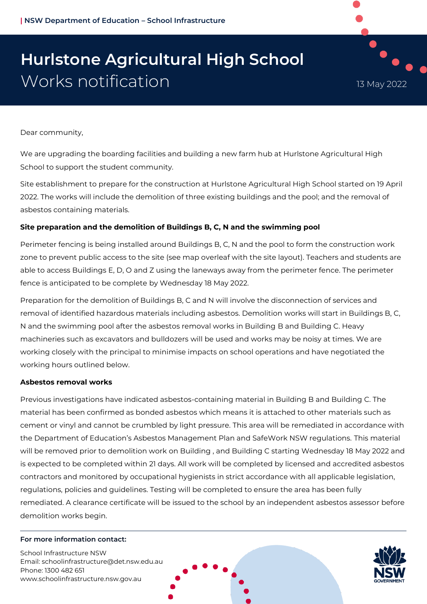# **Hurlstone Agricultural High School** Works notification 13 May 2022

Dear community,

We are upgrading the boarding facilities and building a new farm hub at Hurlstone Agricultural High School to support the student community.

Site establishment to prepare for the construction at Hurlstone Agricultural High School started on 19 April 2022. The works will include the demolition of three existing buildings and the pool; and the removal of asbestos containing materials.

# **Site preparation and the demolition of Buildings B, C, N and the swimming pool**

Perimeter fencing is being installed around Buildings B, C, N and the pool to form the construction work zone to prevent public access to the site (see map overleaf with the site layout). Teachers and students are able to access Buildings E, D, O and Z using the laneways away from the perimeter fence. The perimeter fence is anticipated to be complete by Wednesday 18 May 2022.

Preparation for the demolition of Buildings B, C and N will involve the disconnection of services and removal of identified hazardous materials including asbestos. Demolition works will start in Buildings B, C, N and the swimming pool after the asbestos removal works in Building B and Building C. Heavy machineries such as excavators and bulldozers will be used and works may be noisy at times. We are working closely with the principal to minimise impacts on school operations and have negotiated the working hours outlined below.

# **Asbestos removal works**

Previous investigations have indicated asbestos-containing material in Building B and Building C. The material has been confirmed as bonded asbestos which means it is attached to other materials such as cement or vinyl and cannot be crumbled by light pressure. This area will be remediated in accordance with the Department of Education's Asbestos Management Plan and SafeWork NSW regulations. This material will be removed prior to demolition work on Building , and Building C starting Wednesday 18 May 2022 and is expected to be completed within 21 days. All work will be completed by licensed and accredited asbestos contractors and monitored by occupational hygienists in strict accordance with all applicable legislation, regulations, policies and guidelines. Testing will be completed to ensure the area has been fully remediated. A clearance certificate will be issued to the school by an independent asbestos assessor before demolition works begin.

### For more information contact:

School Infrastructure NSW Email: [schoolinfrastructure@det.nsw.edu.au](mailto:schoolinfrastructure@det.nsw.edu.au) Phone: 1300 482 651 www.schoolinfrastructure.nsw.gov.au